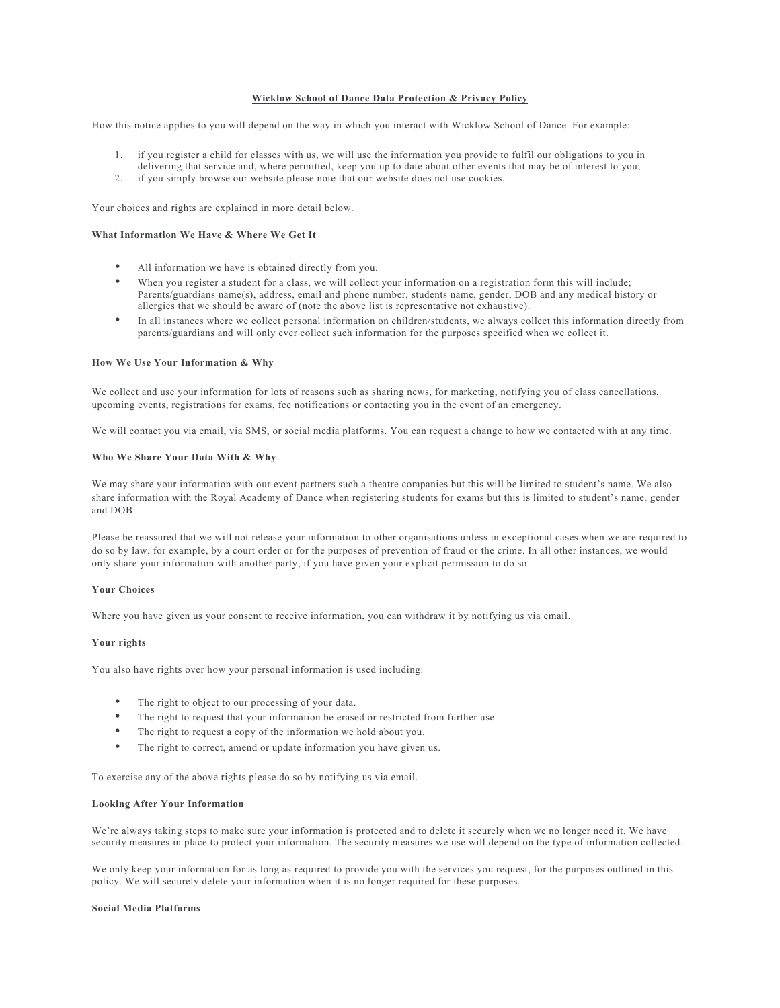# **Wicklow School of Dance Data Protection & Privacy Policy**

How this notice applies to you will depend on the way in which you interact with Wicklow School of Dance. For example:

- 1. if you register a child for classes with us, we will use the information you provide to fulfil our obligations to you in
- delivering that service and, where permitted, keep you up to date about other events that may be of interest to you;
- 2. if you simply browse our website please note that our website does not use cookies.

Your choices and rights are explained in more detail below.

# **What Information We Have & Where We Get It**

- All information we have is obtained directly from you.
- When you register a student for a class, we will collect your information on a registration form this will include; Parents/guardians name(s), address, email and phone number, students name, gender, DOB and any medical history or allergies that we should be aware of (note the above list is representative not exhaustive).
- In all instances where we collect personal information on children/students, we always collect this information directly from parents/guardians and will only ever collect such information for the purposes specified when we collect it.

## **How We Use Your Information & Why**

We collect and use your information for lots of reasons such as sharing news, for marketing, notifying you of class cancellations, upcoming events, registrations for exams, fee notifications or contacting you in the event of an emergency.

We will contact you via email, via SMS, or social media platforms. You can request a change to how we contacted with at any time.

## **Who We Share Your Data With & Why**

We may share your information with our event partners such a theatre companies but this will be limited to student's name. We also share information with the Royal Academy of Dance when registering students for exams but this is limited to student's name, gender and DOB.

Please be reassured that we will not release your information to other organisations unless in exceptional cases when we are required to do so by law, for example, by a court order or for the purposes of prevention of fraud or the crime. In all other instances, we would only share your information with another party, if you have given your explicit permission to do so

### **Your Choices**

Where you have given us your consent to receive information, you can withdraw it by notifying us via email.

# **Your rights**

You also have rights over how your personal information is used including:

- The right to object to our processing of your data.
- The right to request that your information be erased or restricted from further use.
- The right to request a copy of the information we hold about you.
- The right to correct, amend or update information you have given us.

To exercise any of the above rights please do so by notifying us via email.

## **Looking After Your Information**

We're always taking steps to make sure your information is protected and to delete it securely when we no longer need it. We have security measures in place to protect your information. The security measures we use will depend on the type of information collected.

We only keep your information for as long as required to provide you with the services you request, for the purposes outlined in this policy. We will securely delete your information when it is no longer required for these purposes.

### **Social Media Platforms**